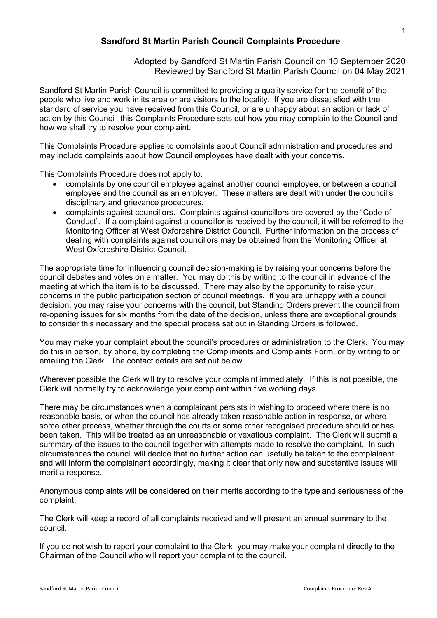## **Sandford St Martin Parish Council Complaints Procedure**

Adopted by Sandford St Martin Parish Council on 10 September 2020 Reviewed by Sandford St Martin Parish Council on 04 May 2021

Sandford St Martin Parish Council is committed to providing a quality service for the benefit of the people who live and work in its area or are visitors to the locality. If you are dissatisfied with the standard of service you have received from this Council, or are unhappy about an action or lack of action by this Council, this Complaints Procedure sets out how you may complain to the Council and how we shall try to resolve your complaint.

This Complaints Procedure applies to complaints about Council administration and procedures and may include complaints about how Council employees have dealt with your concerns.

This Complaints Procedure does not apply to:

- complaints by one council employee against another council employee, or between a council employee and the council as an employer. These matters are dealt with under the council's disciplinary and grievance procedures.
- complaints against councillors. Complaints against councillors are covered by the "Code of Conduct". If a complaint against a councillor is received by the council, it will be referred to the Monitoring Officer at West Oxfordshire District Council. Further information on the process of dealing with complaints against councillors may be obtained from the Monitoring Officer at West Oxfordshire District Council.

The appropriate time for influencing council decision-making is by raising your concerns before the council debates and votes on a matter. You may do this by writing to the council in advance of the meeting at which the item is to be discussed. There may also by the opportunity to raise your concerns in the public participation section of council meetings. If you are unhappy with a council decision, you may raise your concerns with the council, but Standing Orders prevent the council from re-opening issues for six months from the date of the decision, unless there are exceptional grounds to consider this necessary and the special process set out in Standing Orders is followed.

You may make your complaint about the council's procedures or administration to the Clerk. You may do this in person, by phone, by completing the Compliments and Complaints Form, or by writing to or emailing the Clerk. The contact details are set out below.

Wherever possible the Clerk will try to resolve your complaint immediately. If this is not possible, the Clerk will normally try to acknowledge your complaint within five working days.

There may be circumstances when a complainant persists in wishing to proceed where there is no reasonable basis, or when the council has already taken reasonable action in response, or where some other process, whether through the courts or some other recognised procedure should or has been taken. This will be treated as an unreasonable or vexatious complaint. The Clerk will submit a summary of the issues to the council together with attempts made to resolve the complaint. In such circumstances the council will decide that no further action can usefully be taken to the complainant and will inform the complainant accordingly, making it clear that only new and substantive issues will merit a response.

Anonymous complaints will be considered on their merits according to the type and seriousness of the complaint.

The Clerk will keep a record of all complaints received and will present an annual summary to the council.

If you do not wish to report your complaint to the Clerk, you may make your complaint directly to the Chairman of the Council who will report your complaint to the council.